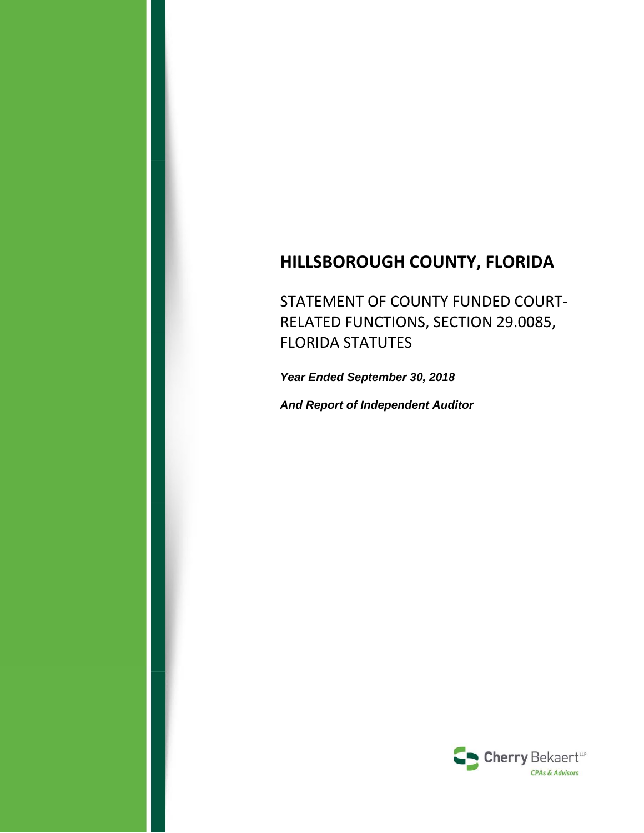# **HILLSBOROUGH COUNTY, FLORIDA**

STATEMENT OF COUNTY FUNDED COURT‐ RELATED FUNCTIONS, SECTION 29.0085, FLORIDA STATUTES

*Year Ended September 30, 2018* 

*And Report of Independent Auditor* 

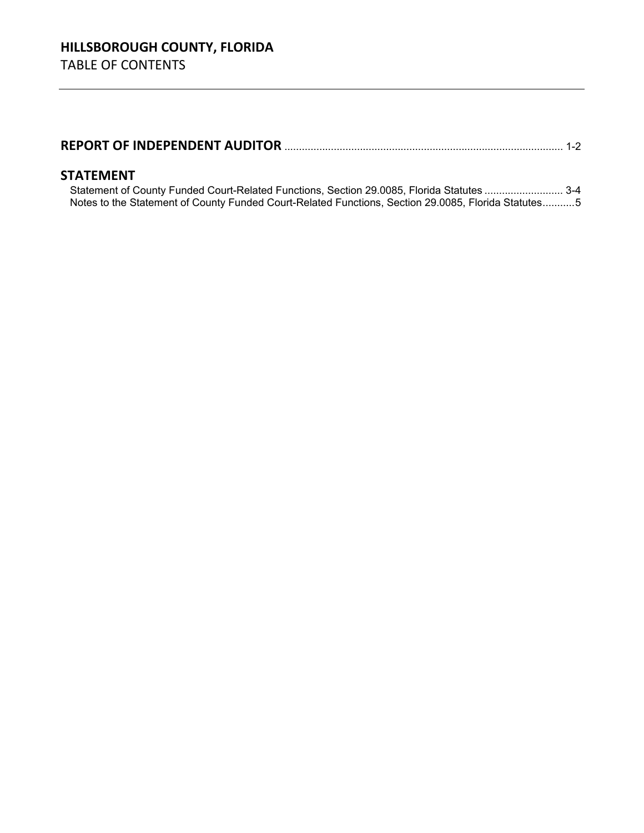|--|--|--|

### **STATEMENT**

Statement of County Funded Court-Related Functions, Section 29.0085, Florida Statutes ........................... 3-4 Notes to the Statement of County Funded Court-Related Functions, Section 29.0085, Florida Statutes ...........5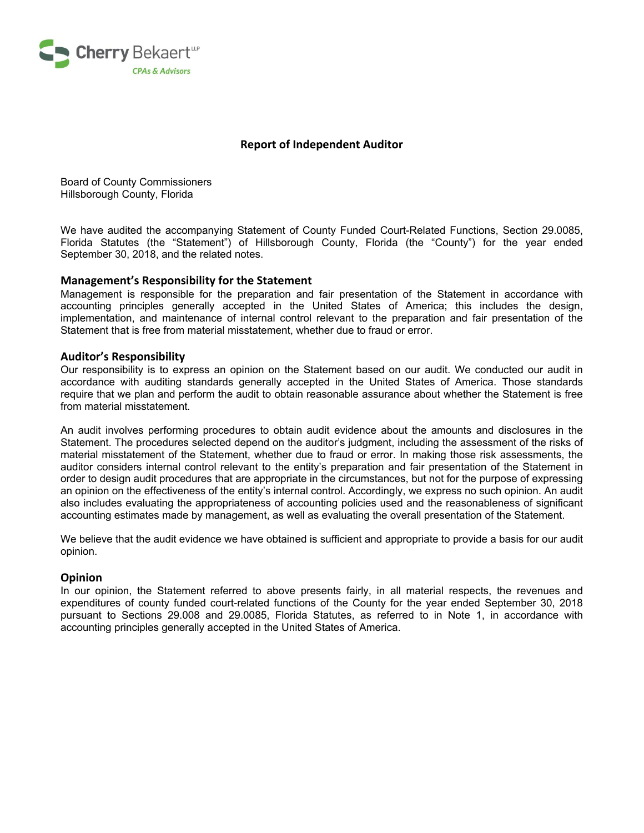

#### **Report of Independent Auditor**

Board of County Commissioners Hillsborough County, Florida

We have audited the accompanying Statement of County Funded Court-Related Functions, Section 29.0085, Florida Statutes (the "Statement") of Hillsborough County, Florida (the "County") for the year ended September 30, 2018, and the related notes.

#### **Management's Responsibility for the Statement**

Management is responsible for the preparation and fair presentation of the Statement in accordance with accounting principles generally accepted in the United States of America; this includes the design, implementation, and maintenance of internal control relevant to the preparation and fair presentation of the Statement that is free from material misstatement, whether due to fraud or error.

#### **Auditor's Responsibility**

Our responsibility is to express an opinion on the Statement based on our audit. We conducted our audit in accordance with auditing standards generally accepted in the United States of America. Those standards require that we plan and perform the audit to obtain reasonable assurance about whether the Statement is free from material misstatement.

 auditor considers internal control relevant to the entity's preparation and fair presentation of the Statement in An audit involves performing procedures to obtain audit evidence about the amounts and disclosures in the Statement. The procedures selected depend on the auditor's judgment, including the assessment of the risks of material misstatement of the Statement, whether due to fraud or error. In making those risk assessments, the order to design audit procedures that are appropriate in the circumstances, but not for the purpose of expressing an opinion on the effectiveness of the entity's internal control. Accordingly, we express no such opinion. An audit also includes evaluating the appropriateness of accounting policies used and the reasonableness of significant accounting estimates made by management, as well as evaluating the overall presentation of the Statement.

We believe that the audit evidence we have obtained is sufficient and appropriate to provide a basis for our audit opinion.

#### **Opinion**

 pursuant to Sections 29.008 and 29.0085, Florida Statutes, as referred to in Note 1, in accordance with In our opinion, the Statement referred to above presents fairly, in all material respects, the revenues and expenditures of county funded court-related functions of the County for the year ended September 30, 2018 accounting principles generally accepted in the United States of America.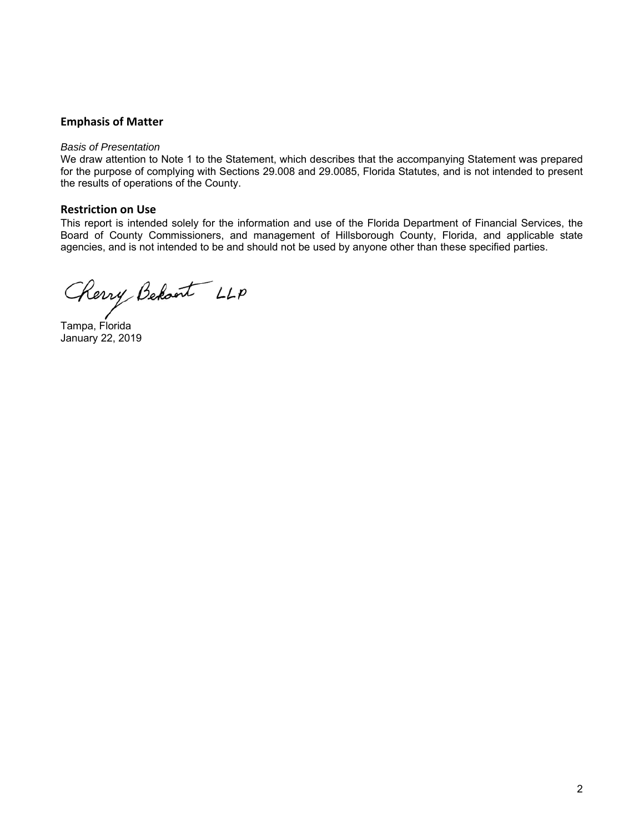#### **Emphasis of Matter**

#### *Basis of Presentation*

 We draw attention to Note 1 to the Statement, which describes that the accompanying Statement was prepared for the purpose of complying with Sections 29.008 and 29.0085, Florida Statutes, and is not intended to present the results of operations of the County.

#### **Restriction on Use**

 Board of County Commissioners, and management of Hillsborough County, Florida, and applicable state This report is intended solely for the information and use of the Florida Department of Financial Services, the agencies, and is not intended to be and should not be used by anyone other than these specified parties.

Cherry Behant LLP

Tampa, Florida January 22, 2019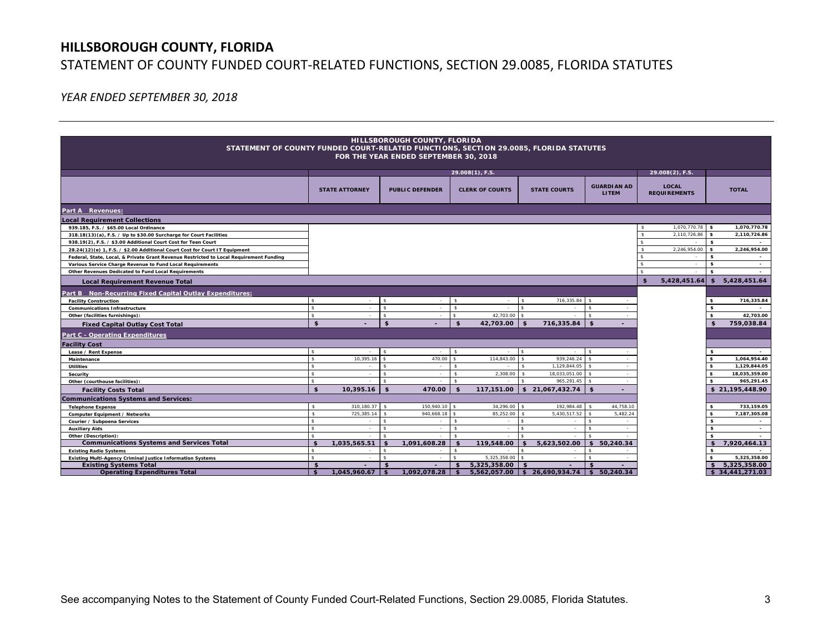## **HILLSBOROUGH COUNTY, FLORIDA**  STATEMENT OF COUNTY FUNDED COURT‐RELATED FUNCTIONS, SECTION 29.0085, FLORIDA STATUTES

*YEAR ENDED SEPTEMBER 30, 2018* 

|                                                                                                                                |                    |                          |                    | HILLSBOROUGH COUNTY, FLORIDA |                    |                        |                    |                               |                    |              |                     |                     |                          |
|--------------------------------------------------------------------------------------------------------------------------------|--------------------|--------------------------|--------------------|------------------------------|--------------------|------------------------|--------------------|-------------------------------|--------------------|--------------|---------------------|---------------------|--------------------------|
|                                                                                                                                |                    |                          |                    |                              |                    |                        |                    |                               |                    |              |                     |                     |                          |
| STATEMENT OF COUNTY FUNDED COURT-RELATED FUNCTIONS, SECTION 29.0085, FLORIDA STATUTES<br>FOR THE YEAR ENDED SEPTEMBER 30, 2018 |                    |                          |                    |                              |                    |                        |                    |                               |                    |              |                     |                     |                          |
|                                                                                                                                |                    |                          |                    |                              |                    |                        |                    |                               |                    |              |                     |                     |                          |
|                                                                                                                                | $29.008(1)$ , F.S. |                          |                    |                              |                    |                        |                    |                               |                    |              | 29.008(2), F.S.     |                     |                          |
|                                                                                                                                |                    |                          |                    |                              |                    |                        |                    |                               |                    |              |                     |                     |                          |
|                                                                                                                                |                    | <b>STATE ATTORNEY</b>    |                    | <b>PUBLIC DEFENDER</b>       |                    | <b>CLERK OF COURTS</b> |                    | <b>STATE COURTS</b>           | <b>GUARDIAN AD</b> |              | <b>LOCAL</b>        |                     | <b>TOTAL</b>             |
|                                                                                                                                |                    |                          |                    |                              |                    |                        |                    |                               | <b>LITEM</b>       |              | <b>REQUIREMENTS</b> |                     |                          |
| Part A Revenues:                                                                                                               |                    |                          |                    |                              |                    |                        |                    |                               |                    |              |                     |                     |                          |
| <b>Local Requirement Collections</b>                                                                                           |                    |                          |                    |                              |                    |                        |                    |                               |                    |              |                     |                     |                          |
| 939.185, F.S. / \$65.00 Local Ordinance                                                                                        |                    |                          |                    |                              |                    |                        |                    |                               |                    |              | 1,070,770.78 \$     |                     | 1,070,770.78             |
| 318.18(13)(a), F.S. / Up to \$30.00 Surcharge for Court Facilities                                                             |                    |                          |                    |                              |                    |                        |                    |                               |                    | ፍ            | $2,110,726.86$ \$   |                     | 2,110,726.86             |
| 938.19(2), F.S. / \$3.00 Additional Court Cost for Teen Court                                                                  |                    |                          |                    |                              |                    |                        |                    |                               |                    |              |                     | s.                  |                          |
| 28.24(12)(e) 1, F.S. / \$2.00 Additional Court Cost for Court IT Equipment                                                     |                    |                          |                    |                              |                    |                        |                    |                               |                    |              | 2,246,954.00        | \$                  | 2.246.954.00             |
| Federal, State, Local, & Private Grant Revenue Restricted to Local Requirement Funding                                         |                    |                          |                    |                              |                    |                        |                    |                               |                    |              |                     | \$                  |                          |
| Various Service Charge Revenue to Fund Local Requirements                                                                      |                    |                          |                    |                              |                    |                        |                    |                               |                    |              | ÷                   | \$                  | $\sim$                   |
| Other Revenues Dedicated to Fund Local Requirements                                                                            |                    |                          |                    |                              |                    |                        |                    |                               |                    |              |                     | $\mathbf{s}$        |                          |
| <b>Local Requirement Revenue Total</b>                                                                                         |                    |                          |                    |                              |                    |                        |                    |                               |                    | $\mathbf{s}$ | 5,428,451.64        | $\mathbf{s}$        | 5,428,451.64             |
| Part B Non-Recurring Fixed Capital Outlay Expenditures:                                                                        |                    |                          |                    |                              |                    |                        |                    |                               |                    |              |                     |                     |                          |
| <b>Facility Construction</b>                                                                                                   | Ś                  | $\sim$                   | ¢                  | $\sim$                       | $\hat{\mathbf{x}}$ | $\sim$                 | ¢,                 | 716,335.84                    | $\sim$             |              |                     | \$                  | 716,335.84               |
| <b>Communications Infrastructure</b>                                                                                           | s                  |                          | $\hat{\mathbf{x}}$ |                              | $\mathbf{\hat{s}}$ |                        |                    |                               |                    |              |                     | s.                  |                          |
| Other (facilities furnishings):                                                                                                | s                  | $\sim$                   | $\mathbf{\hat{s}}$ | $\sim$                       | $\hat{\mathbf{s}}$ | 42,703.00              |                    | ٠                             | $\sim$             |              |                     | $\mathbf{s}$        | 42,703.00                |
| <b>Fixed Capital Outlay Cost Total</b>                                                                                         | \$                 |                          | $\mathbf{s}$       |                              | \$                 | 42,703.00              | \$                 | 716,335.84                    | \$                 |              |                     | $\mathbf{s}$        | 759,038.84               |
| <b>Part C - Operating Expenditures</b>                                                                                         |                    |                          |                    |                              |                    |                        |                    |                               |                    |              |                     |                     |                          |
| <b>Facility Cost</b>                                                                                                           |                    |                          |                    |                              |                    |                        |                    |                               |                    |              |                     |                     |                          |
| Lease / Rent Expense                                                                                                           |                    |                          |                    |                              |                    |                        |                    |                               | $\sim$             |              |                     | \$                  | $\sim$                   |
| Maintenance                                                                                                                    | $\hat{\mathbf{s}}$ | 10,395.16                | $\hat{\mathbf{s}}$ | 470.00                       | $\hat{\mathbf{s}}$ | 114,843.00             |                    | 939,246.24                    | ٠                  |              |                     | \$                  | 1,064,954.40             |
| Utilities                                                                                                                      | $\hat{\mathbf{s}}$ | $\sim$                   | $\mathbf{\hat{s}}$ | $\sim$                       | - \$               | $\sim$                 |                    | 1.129.844.05                  | $\sim$             |              |                     | \$                  | 1.129.844.05             |
| Security                                                                                                                       | $\mathbf{s}$       | $\overline{\phantom{a}}$ | $\mathbf{\hat{s}}$ | $\overline{a}$               | $\hat{\mathbf{z}}$ | 2,308.00               |                    | 18,033,051.00                 |                    |              |                     | $\mathbf{s}$        | 18,035,359.00            |
| Other (courthouse facilities):                                                                                                 | $\hat{\mathbf{s}}$ |                          | $\hat{\mathbf{x}}$ |                              | $\ddot{\bm{z}}$    |                        |                    | 965,291.45                    |                    |              |                     | $\mathbf{s}$        | 965,291.45               |
| <b>Facility Costs Total</b>                                                                                                    | \$                 | 10,395.16                | $\mathbf{s}$       | 470.00                       | - 1                | 117,151.00             |                    | \$21,067,432.74               | \$<br>٠            |              |                     |                     | \$21,195,448.90          |
| <b>Communications Systems and Services:</b>                                                                                    |                    |                          |                    |                              |                    |                        |                    |                               |                    |              |                     |                     |                          |
| <b>Telephone Expense</b>                                                                                                       | $\mathbf{s}$       | 310, 180.37              | -S                 | 150,940.10 \$                |                    | 34,296.00              | -S                 | 192,984.48                    | 44,758.10          |              |                     | $\mathbf{s}$        | 733,159.05               |
| Computer Equipment / Networks                                                                                                  | $\hat{\mathbf{s}}$ | 725.385.14               | $\hat{\mathbf{s}}$ | 940.668.18 \$                |                    | 85,252.00              |                    | 5.430.517.52                  | 5,482.24           |              |                     | \$                  | 7.187.305.08             |
| Courier / Subpoena Services                                                                                                    | $\mathbf{s}$       | ٠                        | \$                 | $\sim$                       | $\mathbf{\hat{s}}$ | $\sim$                 | $\hat{\mathbf{s}}$ | $\sim$                        | s.                 |              |                     | $\mathbf{s}$        | $\sim$                   |
| <b>Auxiliary Aids</b>                                                                                                          | s.                 | ٠                        | $\mathbf{\hat{s}}$ | $\sim$                       | $\mathbf{\hat{s}}$ | $\sim$                 | $\mathbf{\hat{S}}$ | $\sim$                        | s.                 |              |                     | s.                  | $\overline{\phantom{a}}$ |
| Other (Description):                                                                                                           | $\hat{\mathbf{s}}$ |                          |                    |                              |                    | $\mathbf{r}$           |                    |                               |                    |              |                     | $\mathbf{s}$        |                          |
| <b>Communications Systems and Services Total</b>                                                                               | $\mathbf{f}$       | 1,035,565.51             | $\mathbf{\hat{z}}$ | 1,091,608.28                 | \$                 | 119,548.00             | \$                 | 5,623,502.00                  | \$50,240.34        |              |                     | \$                  | 7,920,464.13             |
| <b>Existing Radio Systems</b>                                                                                                  | $\mathbf{s}$       |                          | $\mathbf{\hat{s}}$ | $\sim$                       | $\mathbf{s}$       |                        | $\mathbf{\hat{s}}$ | $\sim$                        | $\hat{\mathbf{s}}$ |              |                     | s.                  |                          |
| <b>Existing Multi-Agency Criminal Justice Information Systems</b>                                                              | $\mathbf{s}$       | ٠                        | $\mathbf{\hat{s}}$ |                              |                    | 5,325,358.00           |                    | $\sim$                        |                    |              |                     | $\mathbf{s}$        | 5,325,358.00             |
| <b>Existing Systems Total</b>                                                                                                  | \$                 |                          | $\mathbf{s}$       |                              |                    | 5,325,358.00           | $\mathbf{s}$       |                               | $\hat{\mathbf{r}}$ |              |                     | $\ddot{\mathbf{r}}$ | 5,325,358.00             |
| <b>Operating Expenditures Total</b>                                                                                            | \$                 | 1,045,960.67             |                    | 1.092.078.28                 |                    |                        |                    | 5,562,057.00 \$ 26,690,934.74 | \$50.240.34        |              |                     |                     | \$34,441,271.03          |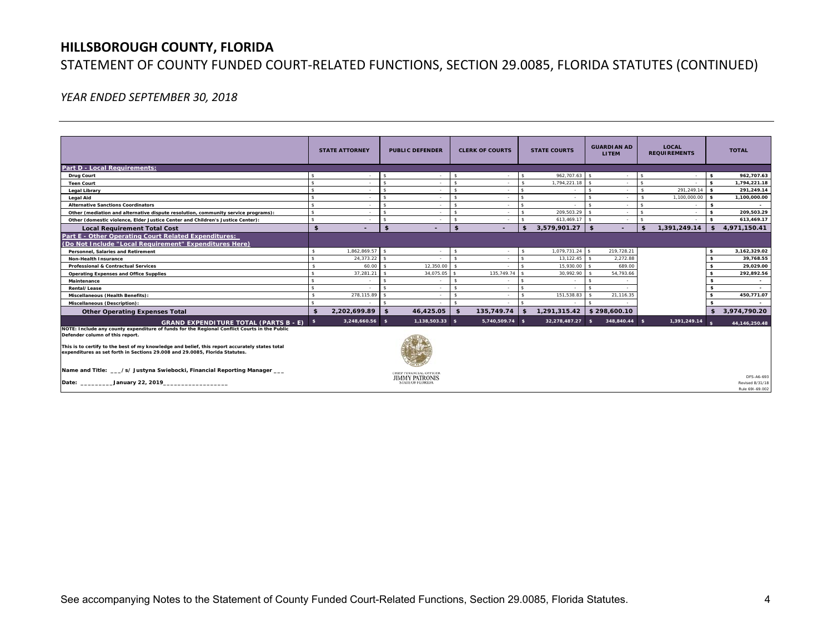### **HILLSBOROUGH COUNTY, FLORIDA**

## STATEMENT OF COUNTY FUNDED COURT‐RELATED FUNCTIONS, SECTION 29.0085, FLORIDA STATUTES (CONTINUED)

*YEAR ENDED SEPTEMBER 30, 2018* 

|                                                                                                                                                                                                                                   | <b>STATE ATTORNEY</b> |                          | <b>PUBLIC DEFENDER</b> |                                                                             | <b>CLERK OF COURTS</b> |                 | <b>STATE COURTS</b> |                  | <b>GUARDIAN AD</b><br><b>LITEM</b> |                          |                    | <b>LOCAL</b><br><b>REQUIREMENTS</b> |              | <b>TOTAL</b>                  |  |
|-----------------------------------------------------------------------------------------------------------------------------------------------------------------------------------------------------------------------------------|-----------------------|--------------------------|------------------------|-----------------------------------------------------------------------------|------------------------|-----------------|---------------------|------------------|------------------------------------|--------------------------|--------------------|-------------------------------------|--------------|-------------------------------|--|
| <b>Part D - Local Requirements:</b>                                                                                                                                                                                               |                       |                          |                        |                                                                             |                        |                 |                     |                  |                                    |                          |                    |                                     |              |                               |  |
| <b>Drug Court</b>                                                                                                                                                                                                                 |                       |                          | -\$                    |                                                                             |                        |                 | \$                  | 962.707.63       |                                    |                          |                    |                                     | $\mathbf{s}$ | 962,707.63                    |  |
| <b>Teen Court</b>                                                                                                                                                                                                                 |                       |                          | $\hat{\mathbf{s}}$     |                                                                             |                        |                 | $\mathbf{\hat{S}}$  | 1,794,221.18     |                                    |                          | $\hat{\mathbf{s}}$ |                                     | $\mathbf{s}$ | 1,794,221.18                  |  |
| <b>Legal Library</b>                                                                                                                                                                                                              |                       |                          | $\hat{\mathbf{r}}$     |                                                                             |                        |                 |                     |                  |                                    |                          |                    | 291,249.14                          | l s          | 291,249.14                    |  |
| <b>Legal Aid</b>                                                                                                                                                                                                                  |                       |                          | $\hat{\mathbf{z}}$     |                                                                             |                        |                 |                     |                  |                                    |                          |                    | $1.100.000.00$ \$                   |              | 1,100,000.00                  |  |
| <b>Alternative Sanctions Coordinators</b>                                                                                                                                                                                         |                       |                          | $\hat{\mathbf{z}}$     |                                                                             |                        |                 |                     |                  |                                    | $\overline{\phantom{a}}$ |                    | $\overline{\phantom{a}}$            | s.           | $\sim$                        |  |
| Other (mediation and alternative dispute resolution, community service programs):                                                                                                                                                 |                       |                          | $\hat{\mathbf{z}}$     |                                                                             |                        |                 | <b>R</b>            | 209,503.29       |                                    | $\overline{\phantom{a}}$ | ፍ                  |                                     | \$           | 209,503.29                    |  |
| Other (domestic violence, Elder Justice Center and Children's Justice Center):                                                                                                                                                    |                       |                          | $\hat{\mathbf{s}}$     |                                                                             | -S.                    |                 | <b>R</b>            | $613.469.17$ \$  |                                    | $\overline{\phantom{a}}$ | ¢                  |                                     | $\mathsf{s}$ | 613.469.17                    |  |
| <b>Local Requirement Total Cost</b>                                                                                                                                                                                               | \$                    | $\overline{\phantom{a}}$ | $\mathbf{s}$           | $\overline{\phantom{a}}$                                                    | \$                     | -               | \$                  | 3,579,901.27     | - \$                               | ÷                        | $\mathbf{\hat{5}}$ | 1,391,249.14                        | \$           | 4,971,150.41                  |  |
| Part E - Other Operating Court Related Expenditures:<br>(Do Not Include "Local Requirement" Expenditures Here)                                                                                                                    |                       |                          |                        |                                                                             |                        |                 |                     |                  |                                    |                          |                    |                                     |              |                               |  |
| Personnel, Salaries and Retirement                                                                                                                                                                                                | <b>R</b>              | 1,862,869.57 \$          |                        |                                                                             | $\mathbf{s}$           |                 | $\hat{\mathbf{s}}$  | 1,079,731.24     | $\sim$                             | 219,728.21               |                    |                                     | \$           | 3,162,329.02                  |  |
| Non-Health Insurance                                                                                                                                                                                                              |                       | 24,373.22                |                        |                                                                             |                        |                 |                     | 13,122.45        |                                    | 2,272.88                 |                    |                                     | $\mathbf{s}$ | 39,768.55                     |  |
| <b>Professional &amp; Contractual Services</b>                                                                                                                                                                                    | \$                    | 60.00                    | $\ddot{\bm{x}}$        | 12.350.00                                                                   |                        |                 | $\hat{\mathbf{s}}$  | 15.930.00        | $\sim$                             | 689.00                   |                    |                                     | \$           | 29,029.00                     |  |
| <b>Operating Expenses and Office Supplies</b>                                                                                                                                                                                     |                       | 37,281.21                | $\hat{\mathbf{S}}$     | 34,075.05                                                                   |                        | 135,749.74      |                     | 30.992.90        |                                    | 54,793.66                |                    |                                     |              | 292,892.56                    |  |
| Maintenance                                                                                                                                                                                                                       |                       |                          | $\hat{\mathbf{z}}$     |                                                                             |                        |                 |                     |                  |                                    |                          |                    |                                     |              | $\overline{\phantom{a}}$      |  |
| Rental/Lease                                                                                                                                                                                                                      |                       |                          |                        |                                                                             |                        |                 |                     |                  |                                    |                          |                    |                                     |              |                               |  |
| Miscellaneous (Health Benefits):                                                                                                                                                                                                  |                       | 278,115.89               |                        |                                                                             |                        |                 |                     | 151,538.83       |                                    | 21,116.35                |                    |                                     |              | 450,771.07                    |  |
| Miscellaneous (Description):                                                                                                                                                                                                      |                       |                          |                        |                                                                             |                        |                 |                     |                  |                                    |                          |                    |                                     |              |                               |  |
| <b>Other Operating Expenses Total</b>                                                                                                                                                                                             | $\mathbf{f}$          | 2,202,699.89             | $\mathbf{s}$           | 46,425.05                                                                   | - \$                   | 135,749.74      | \$                  | 1,291,315.42     |                                    | \$298,600.10             |                    |                                     |              | \$3,974,790.20                |  |
| <b>GRAND EXPENDITURE TOTAL (PARTS B - E)</b>                                                                                                                                                                                      | - \$                  | 3,248,660.56 \$          |                        | $1,138,503.33$ \$                                                           |                        | 5,740,509.74 \$ |                     | 32,278,487.27 \$ |                                    | 348,840.44 \$            |                    | 1,391,249.14                        |              | 44, 146, 250.48               |  |
| NOTE: Include any county expenditure of funds for the Regional Conflict Courts in the Public<br>Defender column of this report.<br>This is to certify to the best of my knowledge and belief, this report accurately states total |                       |                          |                        |                                                                             |                        |                 |                     |                  |                                    |                          |                    |                                     |              |                               |  |
| expenditures as set forth in Sections 29,008 and 29,0085. Florida Statutes.                                                                                                                                                       |                       |                          |                        |                                                                             |                        |                 |                     |                  |                                    |                          |                    |                                     |              |                               |  |
| Name and Title: __/s/ Justyna Swiebocki, Financial Reporting Manager __                                                                                                                                                           |                       |                          |                        | CHIEF FINANCIAL OFFICER<br><b>JIMMY PATRONIS</b><br><b>STATE OF FLORIDA</b> |                        |                 |                     |                  |                                    |                          |                    |                                     |              | DFS-A6-693<br>Revised 8/31/18 |  |
|                                                                                                                                                                                                                                   |                       |                          |                        |                                                                             |                        |                 |                     |                  |                                    |                          |                    |                                     |              | Rule 691-69.002               |  |